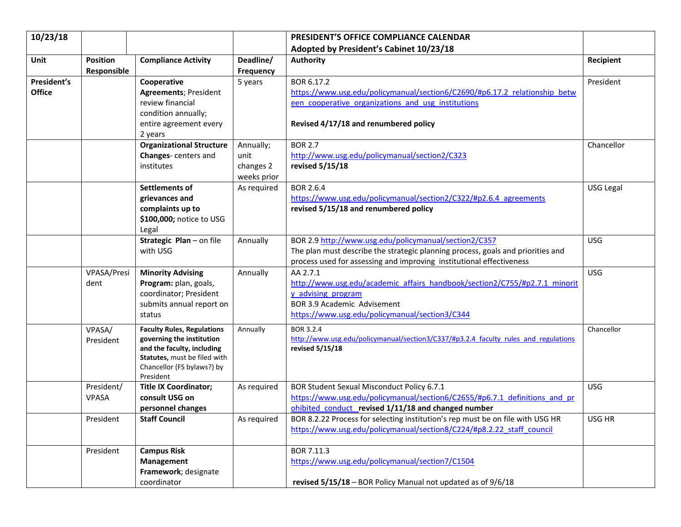| 10/23/18                     |                                |                                                                                                                                                                         |                                               | PRESIDENT'S OFFICE COMPLIANCE CALENDAR                                                                                                                                                                           |            |
|------------------------------|--------------------------------|-------------------------------------------------------------------------------------------------------------------------------------------------------------------------|-----------------------------------------------|------------------------------------------------------------------------------------------------------------------------------------------------------------------------------------------------------------------|------------|
|                              |                                |                                                                                                                                                                         |                                               | Adopted by President's Cabinet 10/23/18                                                                                                                                                                          |            |
| <b>Unit</b>                  | <b>Position</b><br>Responsible | <b>Compliance Activity</b>                                                                                                                                              | Deadline/<br>Frequency                        | <b>Authority</b>                                                                                                                                                                                                 | Recipient  |
| President's<br><b>Office</b> |                                | Cooperative<br><b>Agreements; President</b><br>review financial<br>condition annually;<br>entire agreement every<br>2 years                                             | 5 years                                       | BOR 6.17.2<br>https://www.usg.edu/policymanual/section6/C2690/#p6.17.2 relationship betw<br>een cooperative organizations and usg institutions<br>Revised 4/17/18 and renumbered policy                          | President  |
|                              |                                | <b>Organizational Structure</b><br>Changes-centers and<br>institutes                                                                                                    | Annually;<br>unit<br>changes 2<br>weeks prior | <b>BOR 2.7</b><br>http://www.usg.edu/policymanual/section2/C323<br>revised 5/15/18                                                                                                                               | Chancellor |
|                              |                                | Settlements of<br>grievances and<br>complaints up to<br>\$100,000; notice to USG<br>Legal                                                                               | As required                                   | <b>BOR 2.6.4</b><br>https://www.usg.edu/policymanual/section2/C322/#p2.6.4 agreements<br>revised 5/15/18 and renumbered policy                                                                                   | USG Legal  |
|                              |                                | Strategic Plan - on file<br>with USG                                                                                                                                    | Annually                                      | BOR 2.9 http://www.usg.edu/policymanual/section2/C357<br>The plan must describe the strategic planning process, goals and priorities and<br>process used for assessing and improving institutional effectiveness | <b>USG</b> |
|                              | VPASA/Presi<br>dent            | <b>Minority Advising</b><br>Program: plan, goals,<br>coordinator; President<br>submits annual report on<br>status                                                       | Annually                                      | AA 2.7.1<br>http://www.usg.edu/academic affairs handbook/section2/C755/#p2.7.1 minorit<br>y advising program<br>BOR 3.9 Academic Advisement<br>https://www.usg.edu/policymanual/section3/C344                    | <b>USG</b> |
|                              | VPASA/<br>President            | <b>Faculty Rules, Regulations</b><br>governing the institution<br>and the faculty, including<br>Statutes, must be filed with<br>Chancellor (FS bylaws?) by<br>President | Annually                                      | BOR 3.2.4<br>http://www.usg.edu/policymanual/section3/C337/#p3.2.4 faculty rules and regulations<br>revised 5/15/18                                                                                              | Chancellor |
|                              | President/<br><b>VPASA</b>     | <b>Title IX Coordinator;</b><br>consult USG on<br>personnel changes                                                                                                     | As required                                   | BOR Student Sexual Misconduct Policy 6.7.1<br>https://www.usg.edu/policymanual/section6/C2655/#p6.7.1 definitions and pr<br>ohibited conduct revised 1/11/18 and changed number                                  | <b>USG</b> |
|                              | President                      | <b>Staff Council</b>                                                                                                                                                    | As required                                   | BOR 8.2.22 Process for selecting institution's rep must be on file with USG HR<br>https://www.usg.edu/policymanual/section8/C224/#p8.2.22 staff council                                                          | USG HR     |
|                              | President                      | <b>Campus Risk</b><br>Management<br>Framework; designate<br>coordinator                                                                                                 |                                               | BOR 7.11.3<br>https://www.usg.edu/policymanual/section7/C1504<br>revised 5/15/18 - BOR Policy Manual not updated as of 9/6/18                                                                                    |            |